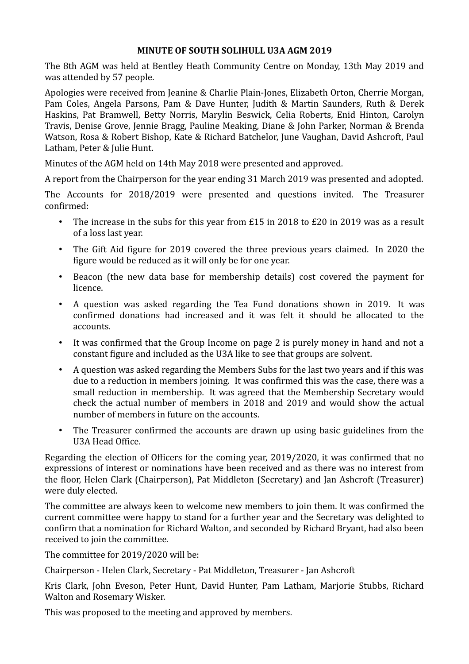## **MINUTE OF SOUTH SOLIHULL U3A AGM 2019**

The 8th AGM was held at Bentley Heath Community Centre on Monday, 13th May 2019 and was attended by 57 people.

Apologies were received from Jeanine & Charlie Plain-Jones, Elizabeth Orton, Cherrie Morgan, Pam Coles, Angela Parsons, Pam & Dave Hunter, Judith & Martin Saunders, Ruth & Derek Haskins, Pat Bramwell, Betty Norris, Marylin Beswick, Celia Roberts, Enid Hinton, Carolyn Travis, Denise Grove, Jennie Bragg, Pauline Meaking, Diane & John Parker, Norman & Brenda Watson, Rosa & Robert Bishop, Kate & Richard Batchelor, June Vaughan, David Ashcroft, Paul Latham, Peter & Julie Hunt.

Minutes of the AGM held on 14th May 2018 were presented and approved.

A report from the Chairperson for the year ending 31 March 2019 was presented and adopted.

The Accounts for 2018/2019 were presented and questions invited. The Treasurer confirmed:

- The increase in the subs for this year from £15 in 2018 to £20 in 2019 was as a result of a loss last year.
- The Gift Aid figure for 2019 covered the three previous years claimed. In 2020 the figure would be reduced as it will only be for one year.
- Beacon (the new data base for membership details) cost covered the payment for licence.
- A question was asked regarding the Tea Fund donations shown in 2019. It was confirmed donations had increased and it was felt it should be allocated to the accounts.
- It was confirmed that the Group Income on page 2 is purely money in hand and not a constant figure and included as the U3A like to see that groups are solvent.
- A question was asked regarding the Members Subs for the last two years and if this was due to a reduction in members joining. It was confirmed this was the case, there was a small reduction in membership. It was agreed that the Membership Secretary would check the actual number of members in 2018 and 2019 and would show the actual number of members in future on the accounts.
- The Treasurer confirmed the accounts are drawn up using basic guidelines from the U3A Head Office.

Regarding the election of Officers for the coming year, 2019/2020, it was confirmed that no expressions of interest or nominations have been received and as there was no interest from the floor, Helen Clark (Chairperson), Pat Middleton (Secretary) and Jan Ashcroft (Treasurer) were duly elected.

The committee are always keen to welcome new members to join them. It was confirmed the current committee were happy to stand for a further year and the Secretary was delighted to confirm that a nomination for Richard Walton, and seconded by Richard Bryant, had also been received to join the committee.

The committee for 2019/2020 will be:

Chairperson - Helen Clark, Secretary - Pat Middleton, Treasurer - Jan Ashcroft

Kris Clark, John Eveson, Peter Hunt, David Hunter, Pam Latham, Marjorie Stubbs, Richard Walton and Rosemary Wisker.

This was proposed to the meeting and approved by members.